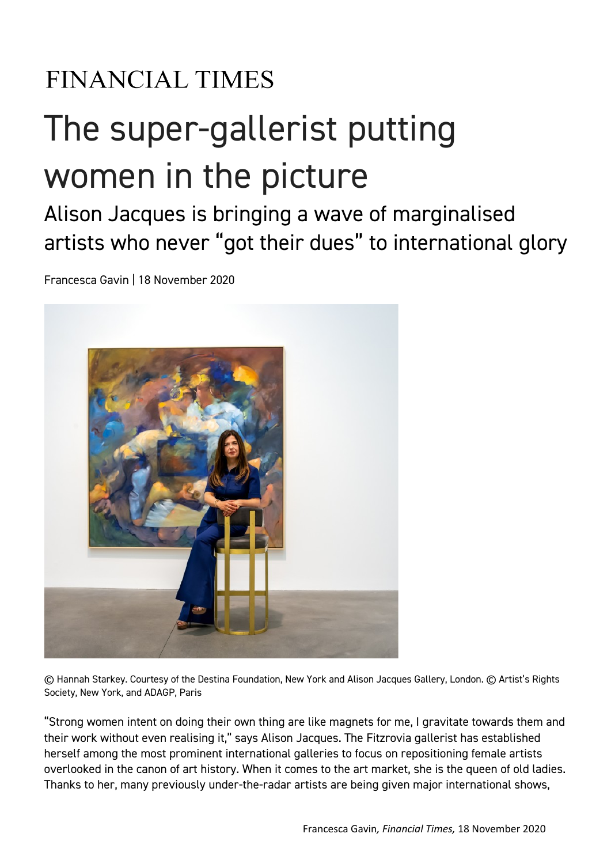## **FINANCIAL TIMES**

## The super-gallerist putting women in the picture

## Alison Jacques is bringing a wave of marginalised artists who never "got their dues" to international glory

Francesca Gavin | 18 November 2020



© Hannah Starkey. Courtesy of the Destina Foundation, New York and Alison Jacques Gallery, London. © Artist's Rights Society, New York, and ADAGP, Paris

"Strong women intent on doing their own thing are like magnets for me, I gravitate towards them and their work without even realising it," says Alison Jacques. The Fitzrovia gallerist has established herself among the most prominent international galleries to focus on repositioning female artists overlooked in the canon of art history. When it comes to the art market, she is the queen of old ladies. Thanks to her, many previously under-the-radar artists are being given major international shows,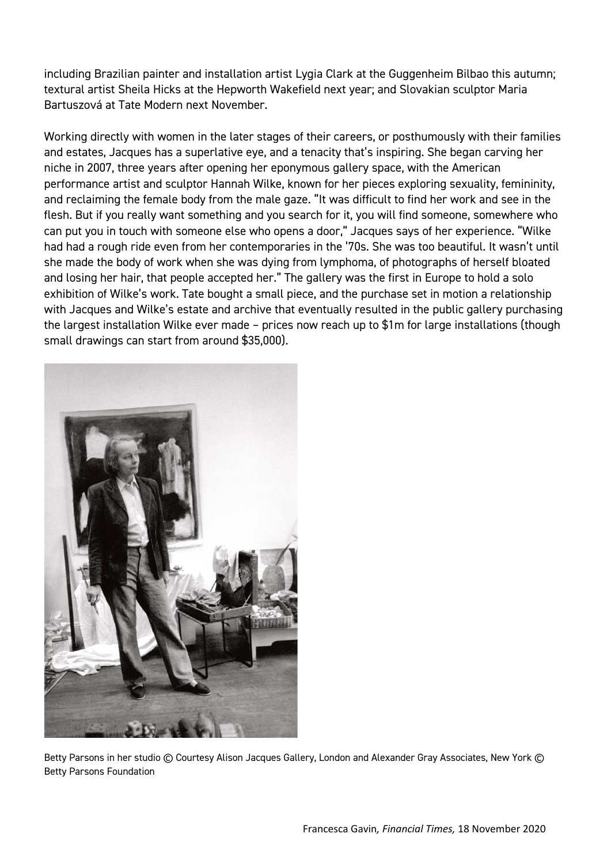including Brazilian painter and installation artist Lygia Clark at the Guggenheim Bilbao this autumn; textural artist Sheila Hicks at the Hepworth Wakefield next year; and Slovakian sculptor Maria Bartuszová at Tate Modern next November.

Working directly with women in the later stages of their careers, or posthumously with their families and estates, Jacques has a superlative eye, and a tenacity that's inspiring. She began carving her niche in 2007, three years after opening her eponymous gallery space, with the American performance artist and sculptor Hannah Wilke, known for her pieces exploring sexuality, femininity, and reclaiming the female body from the male gaze. "It was difficult to find her work and see in the flesh. But if you really want something and you search for it, you will find someone, somewhere who can put you in touch with someone else who opens a door," Jacques says of her experience. "Wilke had had a rough ride even from her contemporaries in the '70s. She was too beautiful. It wasn't until she made the body of work when she was dying from lymphoma, of photographs of herself bloated and losing her hair, that people accepted her." The gallery was the first in Europe to hold a solo exhibition of Wilke's work. Tate bought a small piece, and the purchase set in motion a relationship with Jacques and Wilke's estate and archive that eventually resulted in the public gallery purchasing the largest installation Wilke ever made – prices now reach up to \$1m for large installations (though small drawings can start from around \$35,000).



Betty Parsons in her studio © Courtesy Alison Jacques Gallery, London and Alexander Gray Associates, New York © Betty Parsons Foundation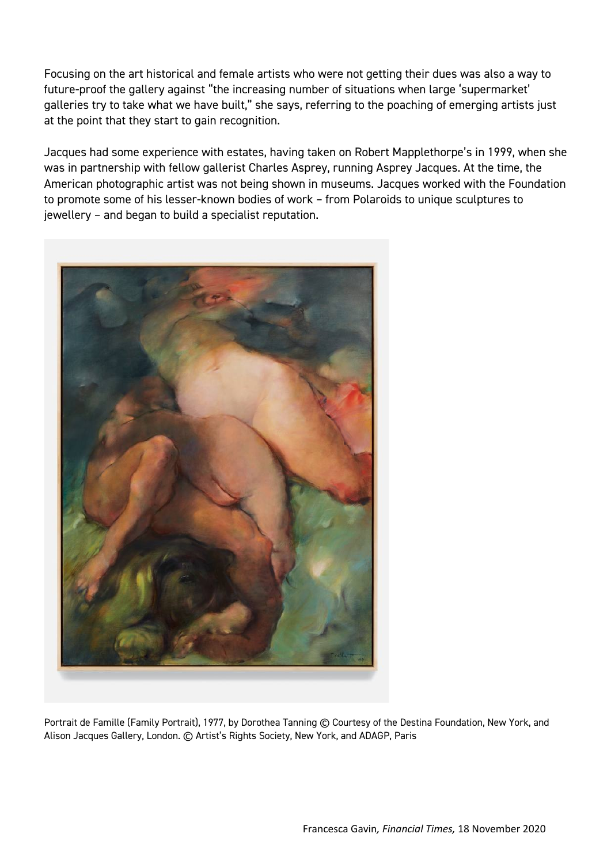Focusing on the art historical and female artists who were not getting their dues was also a way to future-proof the gallery against "the increasing number of situations when large 'supermarket' galleries try to take what we have built," she says, referring to the poaching of emerging artists just at the point that they start to gain recognition.

Jacques had some experience with estates, having taken on Robert Mapplethorpe's in 1999, when she was in partnership with fellow gallerist Charles Asprey, running Asprey Jacques. At the time, the American photographic artist was not being shown in museums. Jacques worked with the Foundation to promote some of his lesser-known bodies of work – from Polaroids to unique sculptures to jewellery – and began to build a specialist reputation.



Portrait de Famille (Family Portrait), 1977, by Dorothea Tanning © Courtesy of the Destina Foundation, New York, and Alison Jacques Gallery, London. © Artist's Rights Society, New York, and ADAGP, Paris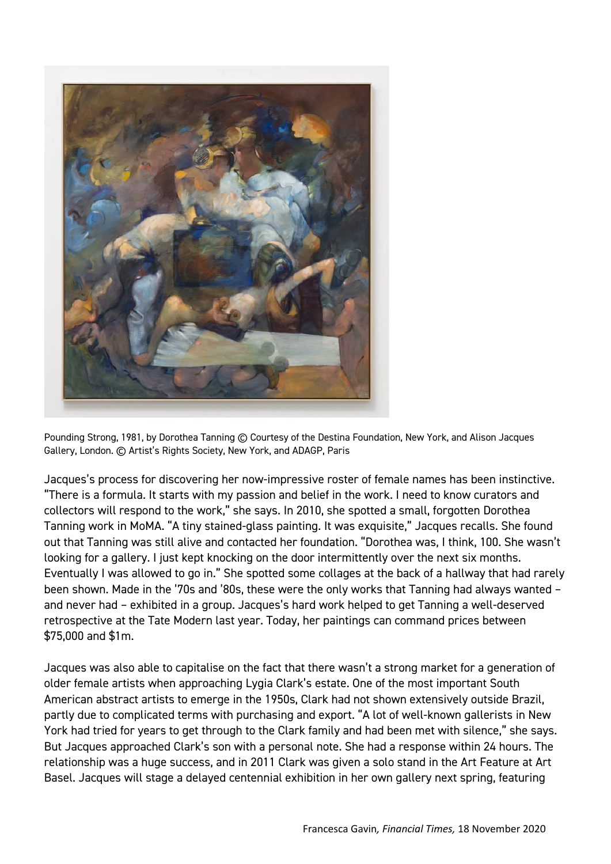

Pounding Strong, 1981, by Dorothea Tanning © Courtesy of the Destina Foundation, New York, and Alison Jacques Gallery, London. © Artist's Rights Society, New York, and ADAGP, Paris

Jacques's process for discovering her now-impressive roster of female names has been instinctive. "There is a formula. It starts with my passion and belief in the work. I need to know curators and collectors will respond to the work," she says. In 2010, she spotted a small, forgotten Dorothea Tanning work in MoMA. "A tiny stained-glass painting. It was exquisite," Jacques recalls. She found out that Tanning was still alive and contacted her foundation. "Dorothea was, I think, 100. She wasn't looking for a gallery. I just kept knocking on the door intermittently over the next six months. Eventually I was allowed to go in." She spotted some collages at the back of a hallway that had rarely been shown. Made in the '70s and '80s, these were the only works that Tanning had always wanted – and never had – exhibited in a group. Jacques's hard work helped to get Tanning a well-deserved retrospective at the Tate Modern last year. Today, her paintings can command prices between \$75,000 and \$1m.

Jacques was also able to capitalise on the fact that there wasn't a strong market for a generation of older female artists when approaching Lygia Clark's estate. One of the most important South American abstract artists to emerge in the 1950s, Clark had not shown extensively outside Brazil, partly due to complicated terms with purchasing and export. "A lot of well-known gallerists in New York had tried for years to get through to the Clark family and had been met with silence," she says. But Jacques approached Clark's son with a personal note. She had a response within 24 hours. The relationship was a huge success, and in 2011 Clark was given a solo stand in the Art Feature at Art Basel. Jacques will stage a delayed centennial exhibition in her own gallery next spring, featuring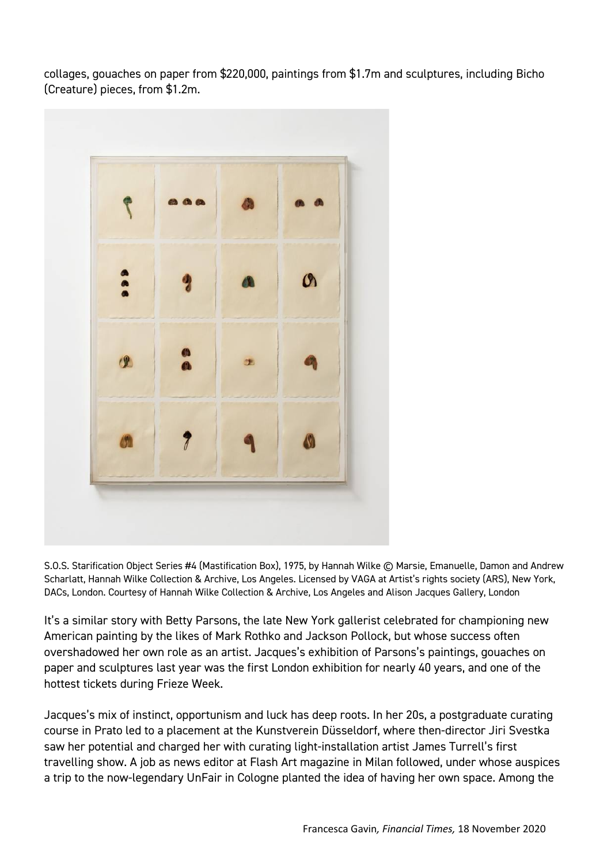collages, gouaches on paper from \$220,000, paintings from \$1.7m and sculptures, including Bicho (Creature) pieces, from \$1.2m.



S.O.S. Starification Object Series #4 (Mastification Box), 1975, by Hannah Wilke © Marsie, Emanuelle, Damon and Andrew Scharlatt, Hannah Wilke Collection & Archive, Los Angeles. Licensed by VAGA at Artist's rights society (ARS), New York, DACs, London. Courtesy of Hannah Wilke Collection & Archive, Los Angeles and Alison Jacques Gallery, London

It's a similar story with Betty Parsons, the late New York gallerist celebrated for championing new American painting by the likes of Mark Rothko and Jackson Pollock, but whose success often overshadowed her own role as an artist. Jacques's exhibition of Parsons's paintings, gouaches on paper and sculptures last year was the first London exhibition for nearly 40 years, and one of the hottest tickets during Frieze Week.

Jacques's mix of instinct, opportunism and luck has deep roots. In her 20s, a postgraduate curating course in Prato led to a placement at the Kunstverein Düsseldorf, where then-director Jiri Svestka saw her potential and charged her with curating light-installation artist James Turrell's first travelling show. A job as news editor at Flash Art magazine in Milan followed, under whose auspices a trip to the now-legendary UnFair in Cologne planted the idea of having her own space. Among the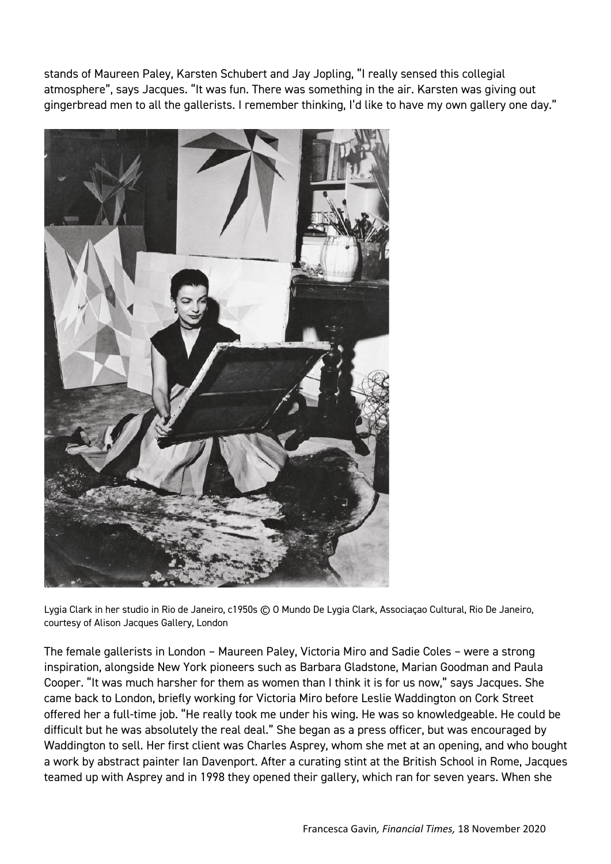stands of Maureen Paley, Karsten Schubert and Jay Jopling, "I really sensed this collegial atmosphere", says Jacques. "It was fun. There was something in the air. Karsten was giving out gingerbread men to all the gallerists. I remember thinking, I'd like to have my own gallery one day."



Lygia Clark in her studio in Rio de Janeiro, c1950s © O Mundo De Lygia Clark, Associaçao Cultural, Rio De Janeiro, courtesy of Alison Jacques Gallery, London

The female gallerists in London – Maureen Paley, Victoria Miro and Sadie Coles – were a strong inspiration, alongside New York pioneers such as Barbara Gladstone, Marian Goodman and Paula Cooper. "It was much harsher for them as women than I think it is for us now," says Jacques. She came back to London, briefly working for Victoria Miro before Leslie Waddington on Cork Street offered her a full-time job. "He really took me under his wing. He was so knowledgeable. He could be difficult but he was absolutely the real deal." She began as a press officer, but was encouraged by Waddington to sell. Her first client was Charles Asprey, whom she met at an opening, and who bought a work by abstract painter Ian Davenport. After a curating stint at the British School in Rome, Jacques teamed up with Asprey and in 1998 they opened their gallery, which ran for seven years. When she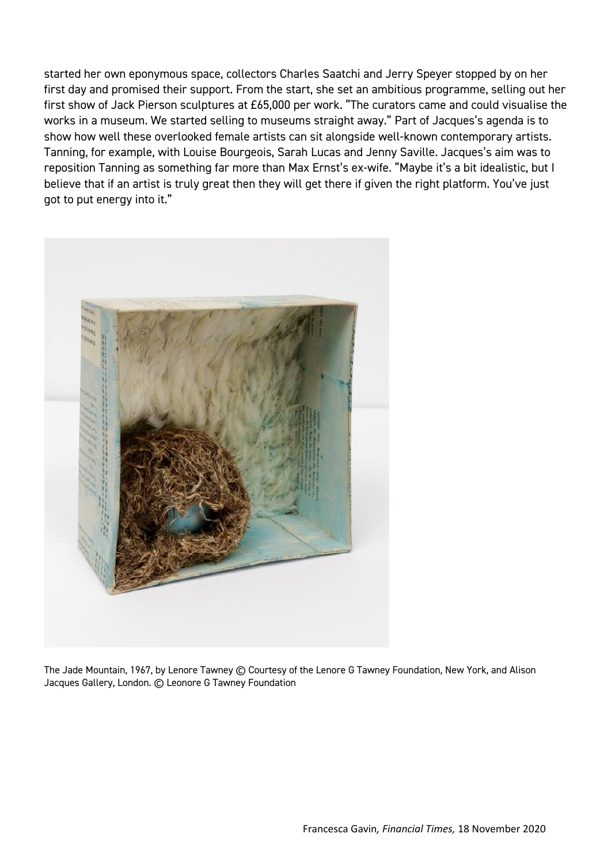started her own eponymous space, collectors Charles Saatchi and Jerry Speyer stopped by on her first day and promised their support. From the start, she set an ambitious programme, selling out her first show of Jack Pierson sculptures at £65,000 per work. "The curators came and could visualise the works in a museum. We started selling to museums straight away." Part of Jacques's agenda is to show how well these overlooked female artists can sit alongside well-known contemporary artists. Tanning, for example, with Louise Bourgeois, Sarah Lucas and Jenny Saville. Jacques's aim was to reposition Tanning as something far more than Max Ernst's ex-wife. "Maybe it's a bit idealistic, but I believe that if an artist is truly great then they will get there if given the right platform. You've just got to put energy into it."



The Jade Mountain, 1967, by Lenore Tawney © Courtesy of the Lenore G Tawney Foundation, New York, and Alison Jacques Gallery, London. © Leonore G Tawney Foundation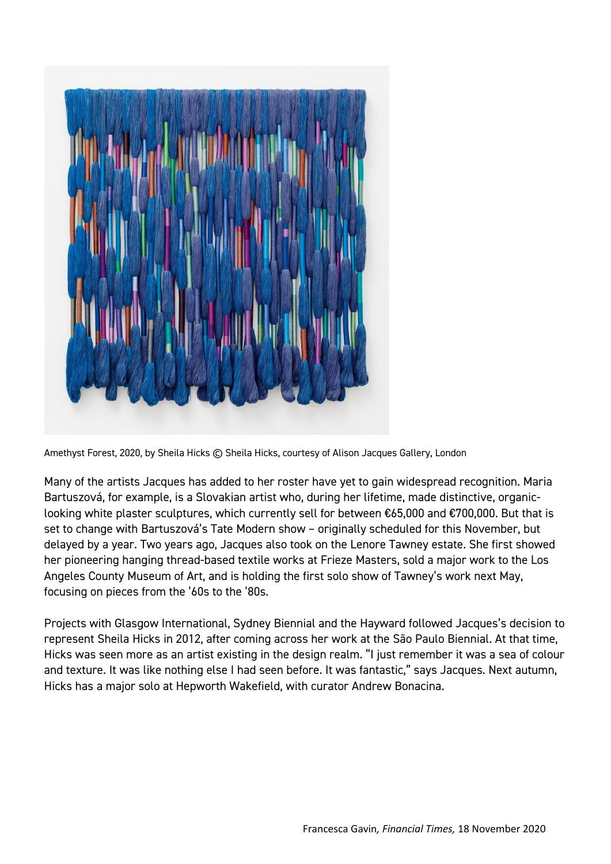

Amethyst Forest, 2020, by Sheila Hicks © Sheila Hicks, courtesy of Alison Jacques Gallery, London

Many of the artists Jacques has added to her roster have yet to gain widespread recognition. Maria Bartuszová, for example, is a Slovakian artist who, during her lifetime, made distinctive, organiclooking white plaster sculptures, which currently sell for between €65,000 and €700,000. But that is set to change with Bartuszová's Tate Modern show - originally scheduled for this November, but delayed by a year. Two years ago, Jacques also took on the Lenore Tawney estate. She first showed her pioneering hanging thread-based textile works at Frieze Masters, sold a major work to the Los Angeles County Museum of Art, and is holding the first solo show of Tawney's work next May, focusing on pieces from the '60s to the '80s.

Projects with Glasgow International, Sydney Biennial and the Hayward followed Jacques's decision to represent Sheila Hicks in 2012, after coming across her work at the São Paulo Biennial. At that time, Hicks was seen more as an artist existing in the design realm. "I just remember it was a sea of colour and texture. It was like nothing else I had seen before. It was fantastic," says Jacques. Next autumn, Hicks has a major solo at Hepworth Wakefield, with curator Andrew Bonacina.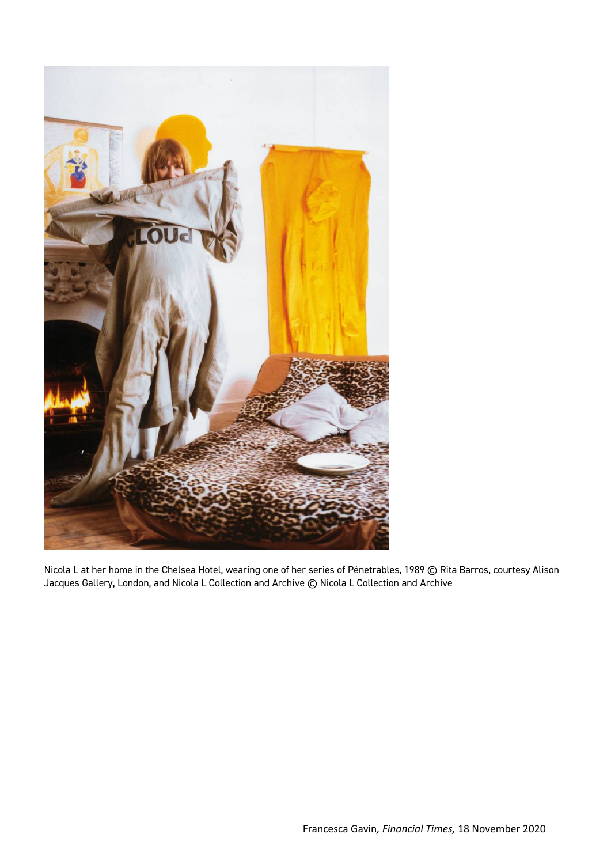

Nicola L at her home in the Chelsea Hotel, wearing one of her series of Pénetrables, 1989 © Rita Barros, courtesy Alison Jacques Gallery, London, and Nicola L Collection and Archive © Nicola L Collection and Archive